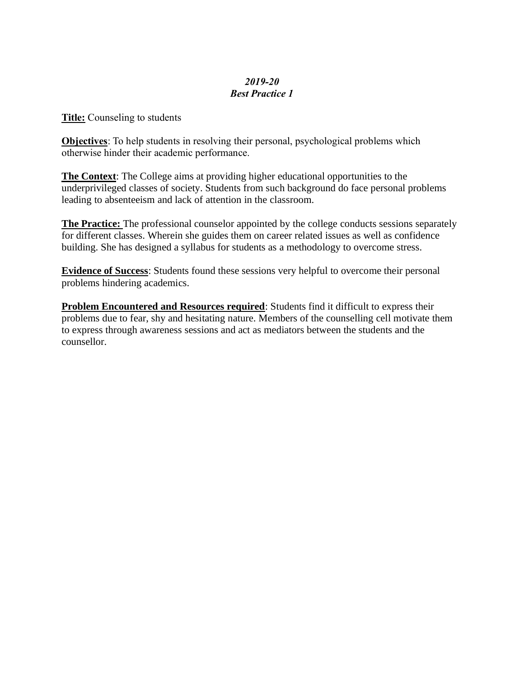## *2019-20 Best Practice 1*

**Title:** Counseling to students

**Objectives**: To help students in resolving their personal, psychological problems which otherwise hinder their academic performance.

**The Context**: The College aims at providing higher educational opportunities to the underprivileged classes of society. Students from such background do face personal problems leading to absenteeism and lack of attention in the classroom.

**The Practice:** The professional counselor appointed by the college conducts sessions separately for different classes. Wherein she guides them on career related issues as well as confidence building. She has designed a syllabus for students as a methodology to overcome stress.

**Evidence of Success**: Students found these sessions very helpful to overcome their personal problems hindering academics.

**Problem Encountered and Resources required**: Students find it difficult to express their problems due to fear, shy and hesitating nature. Members of the counselling cell motivate them to express through awareness sessions and act as mediators between the students and the counsellor.